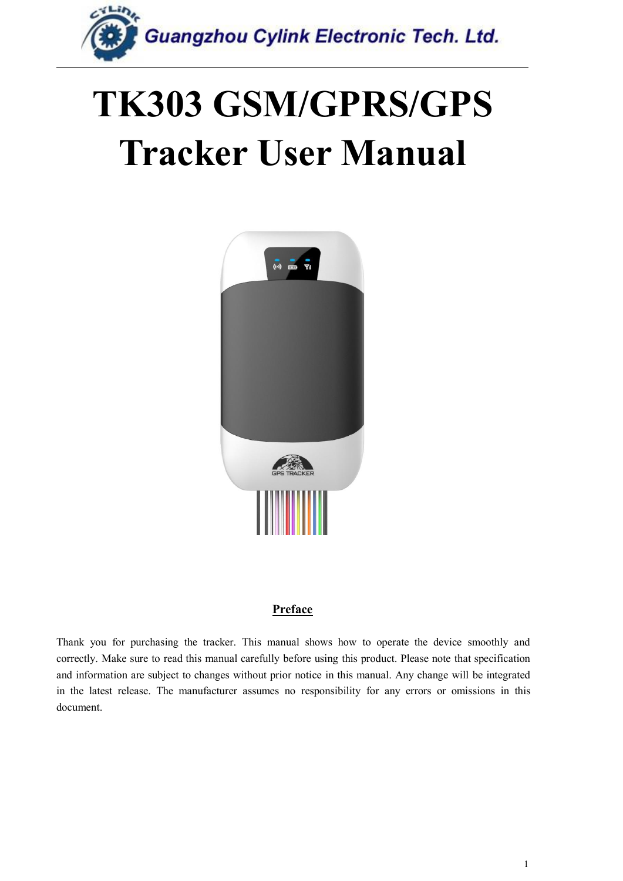

## **TK303 GSM/GPRS/GPS Tracker User Manual**



#### **Preface**

Thank you for purchasing the tracker. This manual shows how to operate the device smoothly and correctly. Make sure to read this manual carefully before using this product. Please note that specification and information are subject to changes without prior notice in this manual. Any change will be integrated in the latest release. The manufacturer assumes no responsibility for any errors or omissions in this document.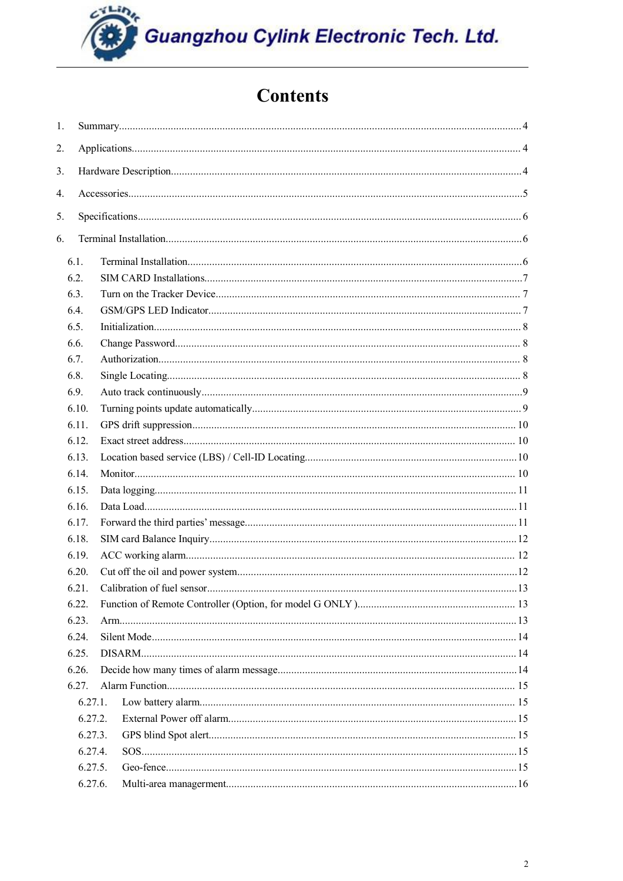## **Contents**

| 1. |       |                            |     |
|----|-------|----------------------------|-----|
| 2. |       |                            |     |
| 3. |       |                            |     |
|    |       |                            |     |
| 4. |       |                            |     |
| 5. |       |                            |     |
| 6. |       |                            |     |
|    |       |                            |     |
|    | 6.1.  |                            |     |
|    | 6.2.  |                            |     |
|    | 6.3.  |                            |     |
|    | 6.4.  |                            |     |
|    | 6.5.  |                            |     |
|    | 6.6.  |                            |     |
|    | 6.7.  |                            |     |
|    | 6.8.  |                            |     |
|    | 6.9.  |                            |     |
|    | 6.10. |                            |     |
|    | 6.11. |                            |     |
|    | 6.12. |                            |     |
|    | 6.13. |                            |     |
|    | 6.14. |                            |     |
|    | 6.15. |                            |     |
|    | 6.16. |                            |     |
|    | 6.17. |                            |     |
|    | 6.18. |                            |     |
|    | 6.19. |                            |     |
|    | 6.20. |                            |     |
|    | 6.21  | Calibration of file sensor | .13 |
|    | 6.22. |                            |     |
|    | 6.23. |                            |     |
|    | 6.24. |                            |     |
|    | 6.25. |                            |     |
|    | 6.26. |                            |     |
|    | 6.27. |                            |     |
|    |       | 6.27.1.                    |     |
|    |       | 6.27.2.                    |     |
|    |       | 6.27.3.                    |     |
|    |       | 6.27.4.                    |     |
|    |       | 6.27.5.                    |     |
|    |       | 6.27.6.                    |     |
|    |       |                            |     |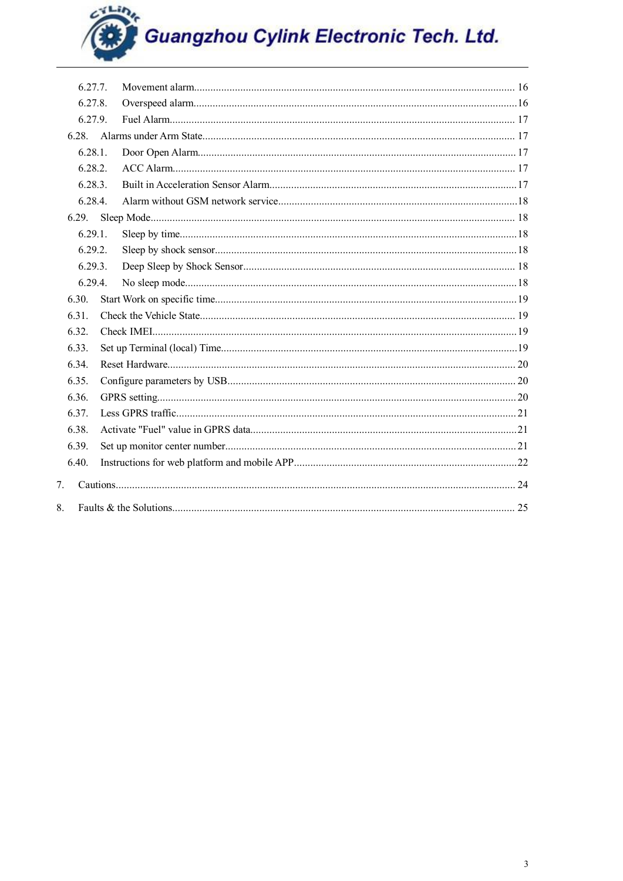| 6 2 7 7        |  |
|----------------|--|
| 6.27.8.        |  |
| 6.27.9.        |  |
|                |  |
| 6.28.1         |  |
| 6.28.2.        |  |
| 6.28.3.        |  |
| 6.28.4.        |  |
|                |  |
| 6.29.1         |  |
| 6.29.2         |  |
| 6.29.3.        |  |
| 6.29.4.        |  |
| 6.30.          |  |
| 6.31.          |  |
| 6.32.          |  |
| 6.33.          |  |
| 6.34.          |  |
| 6.35.          |  |
| 6.36.          |  |
| 6.37.          |  |
| 6.38.          |  |
| 6.39.          |  |
| 6.40.          |  |
| 7 <sub>1</sub> |  |
| 8.             |  |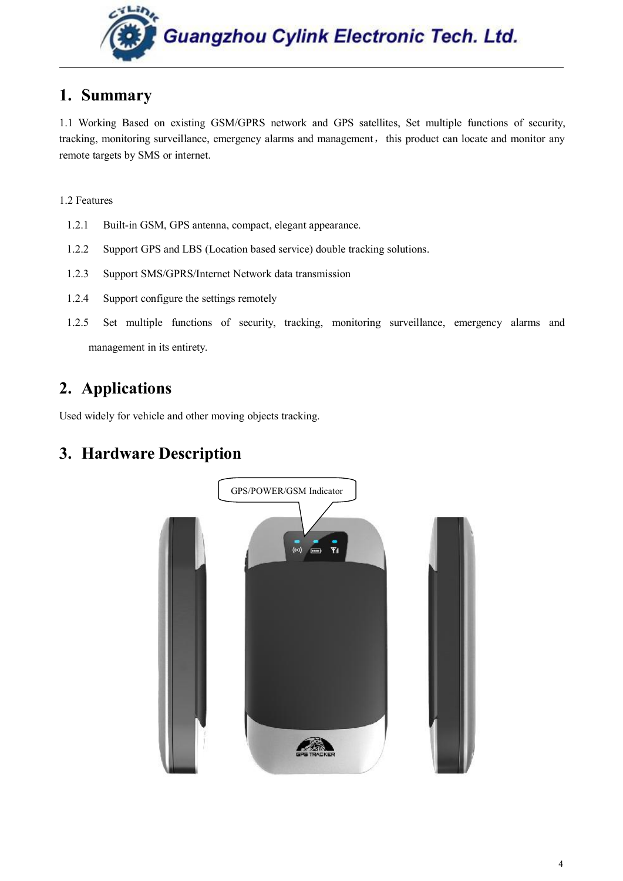

## <span id="page-3-0"></span>**1. Summary**

1.1 Working Based on existing GSM/GPRS network and GPS satellites, Set multiple functions of security, tracking, monitoring surveillance, emergency alarms and management, this product can locate and monitor any remote targets by SMS or internet.

#### 1.2 Features

- 1.2.1 Built-in GSM, GPS antenna, compact, elegant appearance.
- 1.2.2 Support GPS and LBS (Location based service) double tracking solutions.
- 1.2.3 Support SMS/GPRS/Internet Network data transmission
- 1.2.4 Support configure the settings remotely
- 1.2.5 Set multiple functions of security, tracking, monitoring surveillance, emergency alarms and management in its entirety.

## **2. Applications**

Used widely for vehicle and other moving objects tracking.

## **3. Hardware Description**

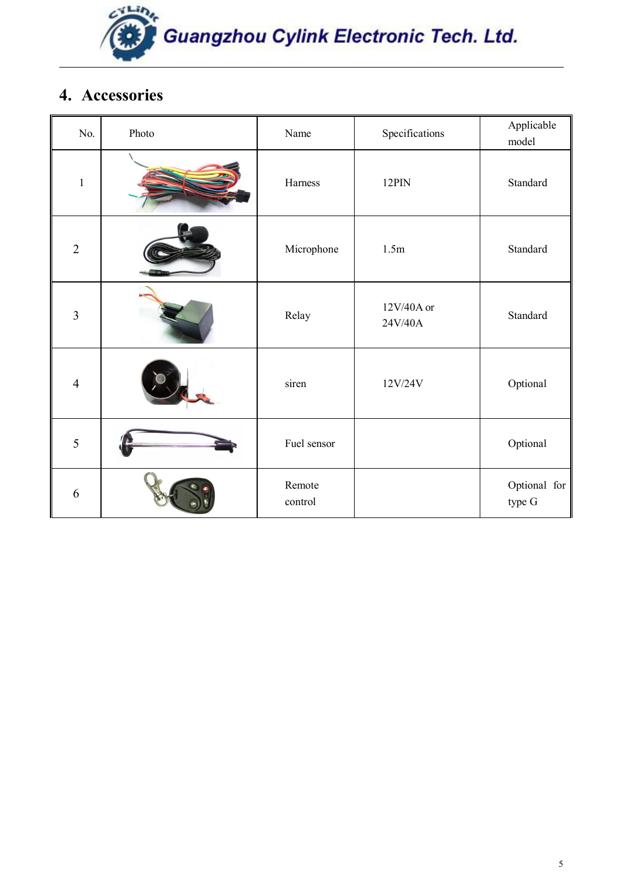

## <span id="page-4-0"></span>**4. Accessories**

| No.            | Photo | Name              | Specifications        | Applicable<br>model    |
|----------------|-------|-------------------|-----------------------|------------------------|
| $\mathbf{1}$   |       | Harness           | $12$ PIN              | Standard               |
| $\overline{2}$ |       | Microphone        | 1.5m                  | Standard               |
| $\overline{3}$ |       | Relay             | 12V/40A or<br>24V/40A | Standard               |
| $\overline{4}$ |       | siren             | 12V/24V               | Optional               |
| 5              |       | Fuel sensor       |                       | Optional               |
| 6              |       | Remote<br>control |                       | Optional for<br>type G |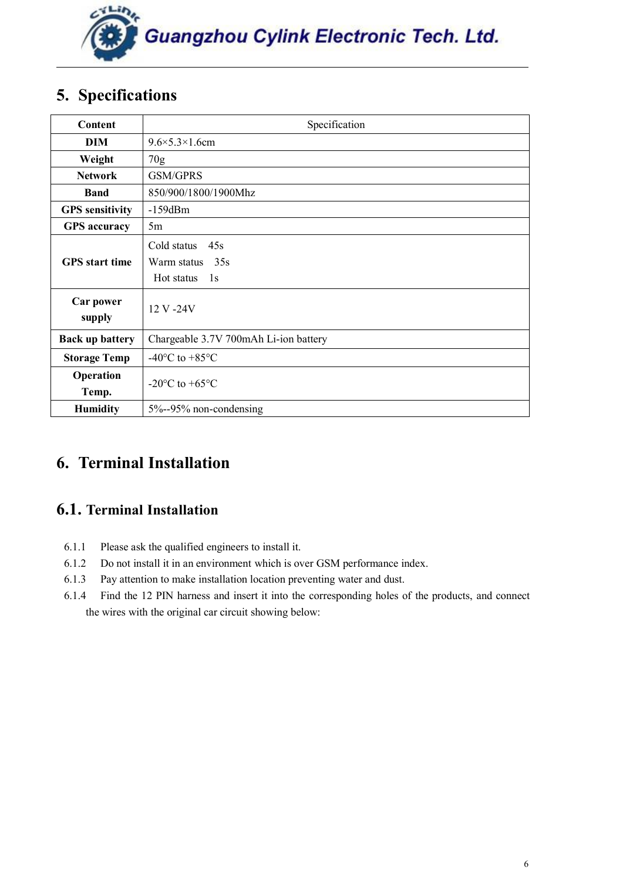

## <span id="page-5-1"></span><span id="page-5-0"></span>**5. Specifications**

| Content                | Specification                                                |
|------------------------|--------------------------------------------------------------|
| DIM                    | $9.6 \times 5.3 \times 1.6$ cm                               |
| Weight                 | 70g                                                          |
| <b>Network</b>         | <b>GSM/GPRS</b>                                              |
| <b>Band</b>            | 850/900/1800/1900Mhz                                         |
| <b>GPS</b> sensitivity | $-159dBm$                                                    |
| <b>GPS</b> accuracy    | 5m                                                           |
| <b>GPS</b> start time  | Cold status<br>45s<br>35s<br>Warm status<br>Hot status<br>1s |
| Car power<br>supply    | 12 V -24 V                                                   |
| <b>Back up battery</b> | Chargeable 3.7V 700mAh Li-ion battery                        |
| <b>Storage Temp</b>    | -40 $\rm{^{\circ}C}$ to +85 $\rm{^{\circ}C}$                 |
| Operation<br>Temp.     | -20 $\mathrm{^{\circ}C}$ to +65 $\mathrm{^{\circ}C}$         |
| <b>Humidity</b>        | 5%--95% non-condensing                                       |

## **6. Terminal Installation**

## **6.1. Terminal Installation**

- 6.1.1 Please ask the qualified engineers to install it.
- 6.1.2 Do not install it in an environment which is over GSM performance index.
- 6.1.3 Pay attention to make installation location preventing water and dust.
- 6.1.4 Find the 12 PIN harness and insert it into the corresponding holes of the products, and connect the wires with the original car circuit showing below: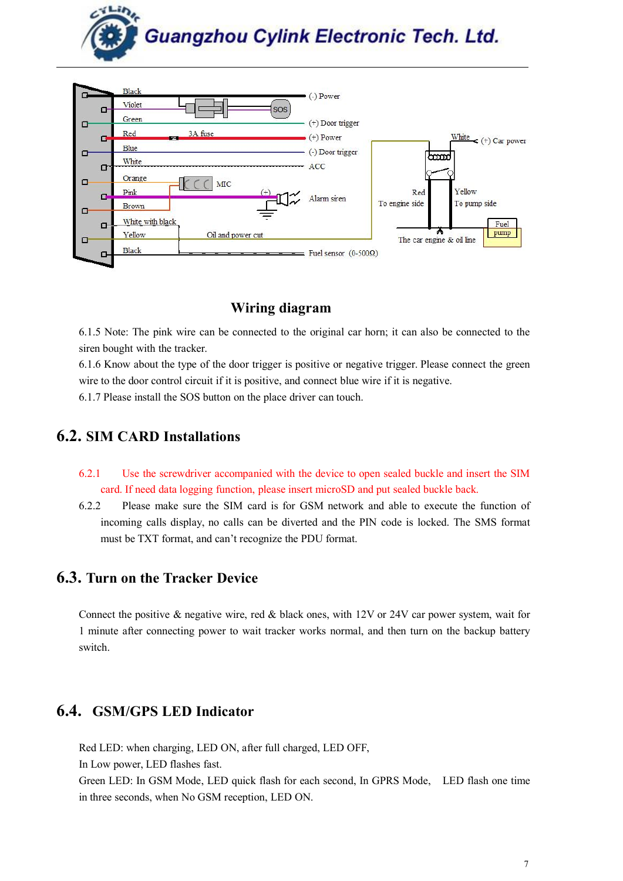

<span id="page-6-1"></span><span id="page-6-0"></span>

## **Wiring diagram**

6.1.5 Note: The pink wire can be connected to the original car horn; it can also be connected to the siren bought with the tracker.

6.1.6 Know about the type of the door trigger is positive or negative trigger. Please connect the green wire to the door control circuit if it is positive, and connect blue wire if it is negative.

6.1.7 Please install the SOS button on the place driver can touch.

## **6.2. SIM CARD Installations**

- 6.2.1 Use the screwdriver accompanied with the device to open sealed buckle and insert the SIM card. If need data logging function, please insert microSD and put sealed buckle back.
- 6.2.2 Please make sure the SIM card is for GSM network and able to execute the function of incoming calls display, no calls can be diverted and the PIN code islocked. The SMS format must be TXT format, and can't recognize the PDU format.

## **6.3. Turn on the Tracker Device**

Connect the positive  $\&$  negative wire, red  $\&$  black ones, with 12V or 24V car power system, wait for 1 minute after connecting power to wait tracker works normal, and then turn on the backup battery switch.

## **6.4. GSM/GPS LED Indicator**

Red LED: when charging, LED ON, after full charged, LED OFF,

In Low power, LED flashes fast.

Green LED: In GSM Mode, LED quick flash for each second, In GPRS Mode, LED flash one time in three seconds, when No GSM reception, LED ON.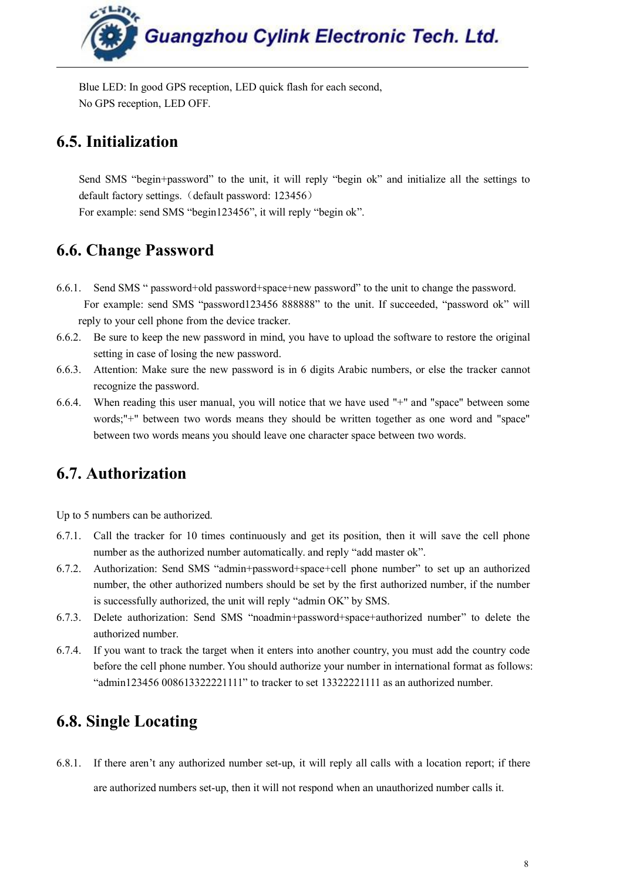

<span id="page-7-0"></span>Blue LED: In good GPS reception, LED quick flash for each second, No GPS reception, LED OFF.

## **6.5. Initialization**

Send SMS "begin+password" to the unit, it will reply "begin ok" and initialize all the settings to default factory settings. (default password: 123456) For example: send SMS "begin123456", it will reply "begin ok".

## **6.6. Change Password**

- 6.6.1. Send SMS " password+old password+space+new password" to the unit to change the password. For example: send SMS "password123456 888888" to the unit. If succeeded, "password ok" will reply to your cell phone from the device tracker.
- 6.6.2. Be sure to keep the new password in mind, you have to upload the software to restore the original setting in case of losing the new password.
- 6.6.3. Attention: Make sure the new password is in 6 digits Arabic numbers, or else the tracker cannot recognize the password.
- 6.6.4. When reading this user manual, you will notice that we have used "+"and "space" between some words;"+" between two words means they should be written together as one word and "space" between two words means you should leave one character space between two words.

## **6.7. Authorization**

Up to 5 numbers can be authorized.

- 6.7.1. Call the tracker for 10 times continuously and get its position, then it will save the cell phone number as the authorized number automatically. and reply "add master ok".
- 6.7.2. Authorization: Send SMS "admin+password+space+cell phone number" to set up an authorized number, the other authorized numbers should be set by the first authorized number, if the number is successfully authorized, the unit will reply "admin OK" by SMS.
- 6.7.3. Delete authorization: Send SMS "noadmin+password+space+authorized number" to delete the authorized number.
- 6.7.4. If you want to track the target when it enters into another country, you must add the country code before the cell phone number. You should authorize your number in international format as follows: "admin123456 008613322221111" to tracker to set 13322221111 as an authorized number.

## **6.8. Single Locating**

6.8.1. If there aren't any authorized number set-up, it will reply all calls with a location report; if there are authorized numbers set-up, then it will not respond when an unauthorized number calls it.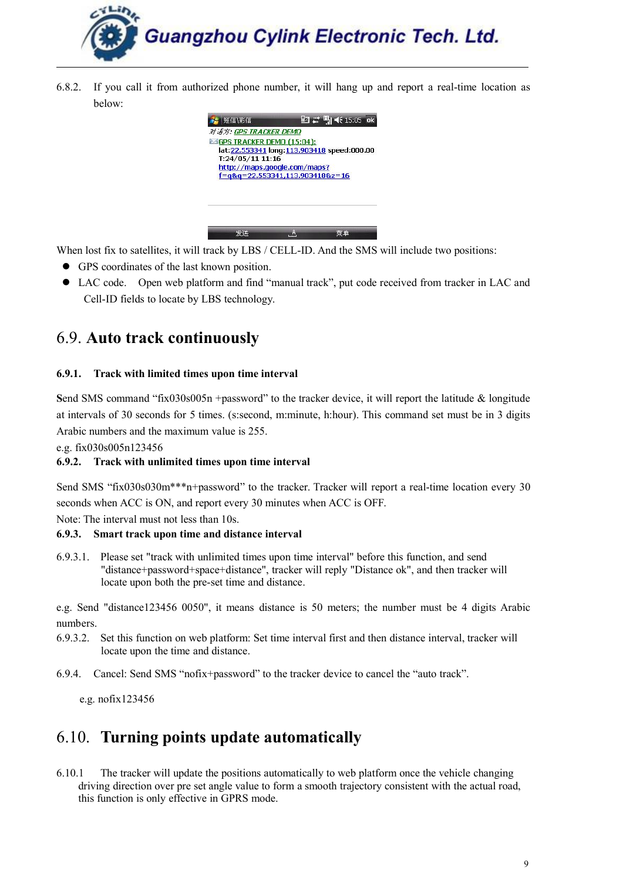<span id="page-8-1"></span><span id="page-8-0"></span>6.8.2. If you call it from authorized phone number,it will hang up and report a real-time location as below:



When lost fix to satellites, it will track by LBS / CELL-ID. And the SMS will include two positions:

- GPS coordinates of the last known position.
- LAC code. Open web platform and find "manual track", put code received from tracker in LAC and Cell-ID fields to locate by LBS technology.

## 6.9. **Auto track continuously**

#### **6.9.1. Track with limited times upon timeinterval**

**S**end SMS command "fix030s005n +password" to the tracker device, it will report the latitude & longitude at intervals of30 seconds for 5 times. (s:second, m:minute, h:hour). This command set must be in 3 digits Arabic numbers and the maximum value is 255.

e.g. fix030s005n123456

#### **6.9.2. Track with unlimited times upon time interval**

Send SMS "fix030s030m\*\*\*n+password" to the tracker. Tracker will report a real-time location every 30 seconds when ACC is ON, and report every 30 minutes when ACC is OFF.

Note: The interval must not less than 10s.

#### **6.9.3. Smart track upon time and distance interval**

6.9.3.1. Please set "track with unlimited times upon time interval" before this function, and send "distance+password+space+distance", tracker will reply "Distance ok", and then tracker will locate upon both the pre-set time and distance.

e.g. Send "distance123456 0050", it means distance is 50 meters; the number must be 4 digits Arabic numbers.

- 6.9.3.2. Set this function on web platform: Set time interval first and then distance interval, tracker will locate upon the time and distance.
- 6.9.4. Cancel: Send SMS "nofix+password" to the tracker device to cancel the "auto track".

e.g. nofix123456

## 6.10. **Turning points update automatically**

6.10.1 The tracker will update the positions automatically to web platform once the vehicle changing driving direction over pre set angle value to form a smooth trajectory consistent with the actual road, this function is only effective in GPRS mode.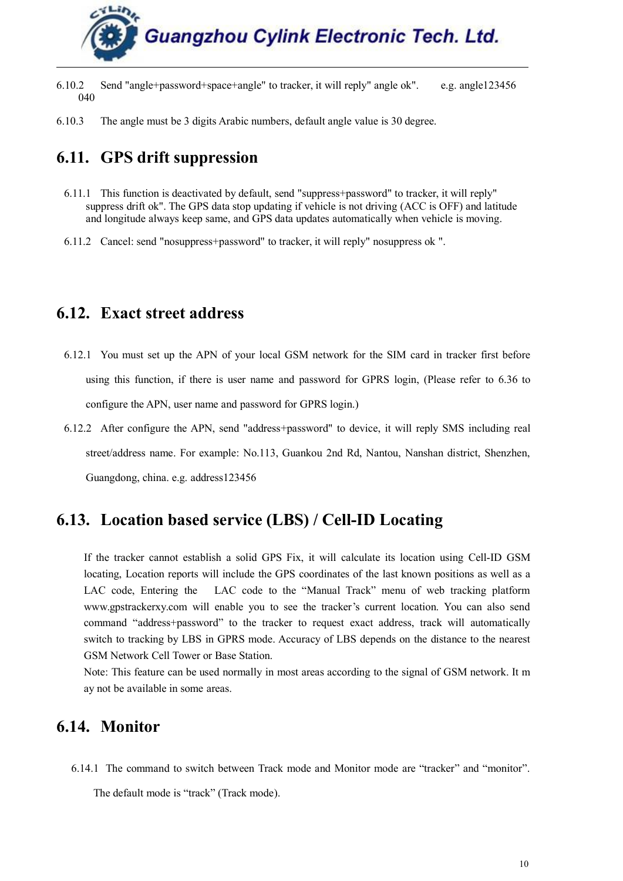

- <span id="page-9-0"></span>6.10.2 Send "angle+password+space+angle" to tracker, it will reply" angle ok". e.g. angle123456 040
- 6.10.3 The angle must be 3 digits Arabic numbers, default angle value is 30 degree.

## **6.11. GPS drift suppression**

- 6.11.1 This function is deactivated by default, send "suppress+password" to tracker, it will reply" suppress drift ok". The GPS data stop updating if vehicle is not driving (ACC is OFF) and latitude and longitude always keep same, and GPS data updates automatically when vehicle is moving.
- 6.11.2 Cancel: send "nosuppress+password" to tracker, it will reply" nosuppress ok ".

## **6.12. Exact street address**

- 6.12.1 You must set up the APN of your local GSM network for the SIM card in tracker first before using this function, if there is user name and password for GPRS login, (Please refer to 6.36 to configure the APN, user name and password for GPRS login.)
- 6.12.2 After configure the APN, send "address+password" to device, it will reply SMS including real street/address name. For example: No.113, Guankou 2nd Rd, Nantou, Nanshan district, Shenzhen, Guangdong, china. e.g. address123456

## **6.13. Location based service (LBS) / Cell-ID Locating**

If the tracker cannot establish a solid GPS Fix, it will calculate its location using Cell-ID GSM locating, Location reports will include the GPS coordinates of the last known positions as well as a LAC code, Entering the LAC code to the "Manual Track" menu of web tracking platform www.gpstrackerxy.com will enable you to see the tracker's current location. You can also send command "address+password" to the tracker to request exact address, track will automatically switch to tracking by LBS in GPRS mode. Accuracy of LBS depends on the distance to the nearest GSM Network Cell Tower or Base Station.

Note: This feature can be used normally in most areas according to the signal of GSM network. It m ay not be available in some areas.

## **6.14. Monitor**

6.14.1 The command to switch between Track mode and Monitor mode are "tracker" and "monitor".

The default mode is "track" (Track mode).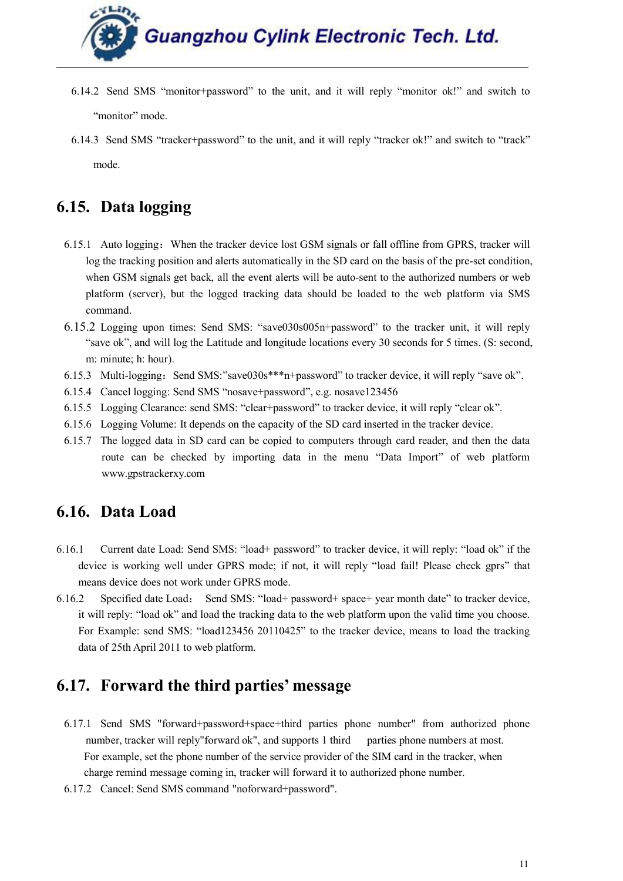- <span id="page-10-0"></span>6.14.2 Send SMS "monitor+password" to the unit, and it will reply "monitor ok!" and switch to "monitor" mode.
- 6.14.3 Send SMS "tracker+password" to the unit, and it will reply "tracker ok!" and switch to "track" mode.

## **6.15. Data logging**

- 6.15.1 Auto logging: When the tracker device lost GSM signals or fall offline from GPRS, tracker will log the tracking position and alerts automatically in the SD card on the basis of the pre-set condition, when GSM signals get back, all the event alerts will be auto-sent to the authorized numbers or web platform (server), but the logged tracking data should be loaded to the web platform via SMS command.
- 6.15.2 Logging upon times: Send SMS: "save030s005n+password" to the tracker unit, it will reply "save ok", and will log the Latitude and longitude locations every 30 seconds for 5 times. (S: second, m: minute; h: hour).
- 6.15.3 Multi-logging: Send SMS:"save030s\*\*\*n+password" to tracker device, it will reply "save ok".
- 6.15.4 Cancel logging: Send SMS "nosave+password", e.g. nosave123456
- 6.15.5 Logging Clearance: send SMS: "clear+password" to tracker device, it will reply "clear ok".
- 6.15.6 Logging Volume: It depends on the capacity of the SD card inserted in the tracker device.
- 6.15.7 The logged data in SD card can be copied to computers through card reader, and then the data route can be checked by importing data in the menu "Data Import" of web platform [www.gpstrackerxy.com](http://www.gpstrackerxy.com)

## **6.16. Data Load**

- 6.16.1 Current date Load: Send SMS: "load+ password" to tracker device, it will reply: "load ok" if the device is working well under GPRS mode; if not, it will reply "load fail! Please check gprs" that means device does not work under GPRS mode.
- 6.16.2 Specified date Load: Send SMS: "load+ password+ space+ year month date" to tracker device, it will reply: "load ok" and load the tracking data to the web platform upon the valid time you choose. For Example: send SMS: "load123456 20110425" to the tracker device, means to load the tracking data of 25th April 2011 to web platform.

## **6.17. Forward the third parties' message**

- 6.17.1 Send SMS "forward+password+space+third parties phone number" from authorized phone number, tracker will reply"forward ok", and supports 1 third parties phone numbers at most. For example, set the phone number of the service provider of the SIM card in the tracker, when charge remind message coming in, tracker will forward it to authorized phone number.
- 6.17.2 Cancel: Send SMS command "noforward+password".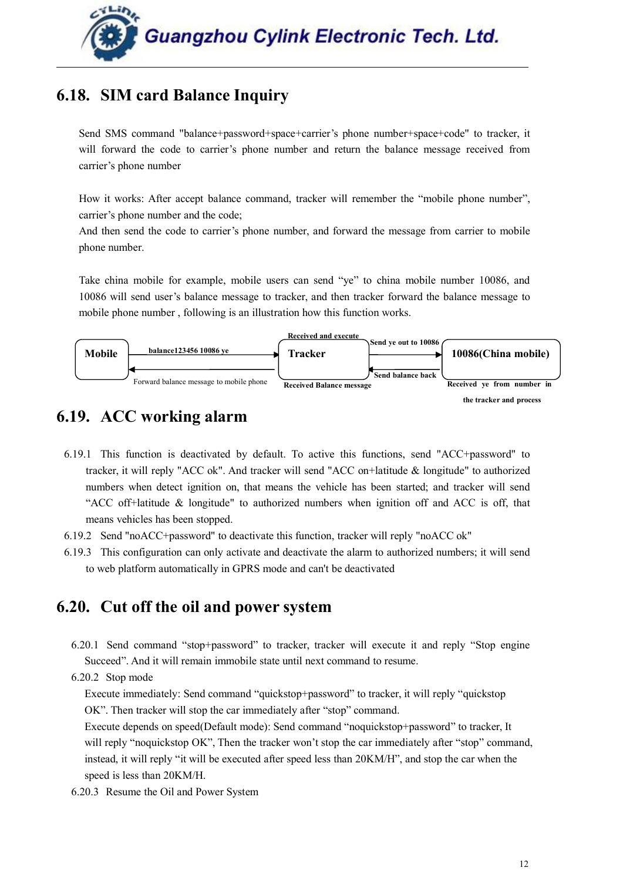

## <span id="page-11-0"></span>**6.18. SIM card Balance Inquiry**

Send SMS command "balance+password+space+carrier's phone number+space+code" to tracker, it will forward the code to carrier's phone number and return the balance message received from carrier's phone number

How it works: After accept balance command, tracker will remember the "mobile phone number", carrier's phone number and the code;

And then send the code to carrier's phone number, and forward the message from carrier to mobile phone number.

Take china mobile for example, mobile users can send "ye" to china mobile number 10086, and 10086 will send user's balance message to tracker, and then tracker forward the balance message to mobile phone number , following is an illustration how this function works.



## **6.19. ACC working alarm**

- 6.19.1 This function is deactivated by default. To active this functions, send "ACC+password" to tracker, it will reply "ACC ok". And tracker will send "ACC on+latitude & longitude" to authorized numbers when detect ignition on, that means the vehicle has been started; and tracker will send "ACC off+latitude & longitude" to authorized numbers when ignition off and ACC is off, that means vehicles has been stopped.
- 6.19.2 Send "noACC+password" to deactivate this function, tracker will reply "noACC ok"
- 6.19.3 This configuration can only activate and deactivate the alarm to authorized numbers; it will send to web platform automatically in GPRS mode and can't be deactivated

## **6.20. Cut off the oil and power system**

- 6.20.1 Send command "stop+password" to tracker, tracker will execute it and reply "Stop engine Succeed". And it will remain immobile state until next command to resume.
- 6.20.2 Stop mode

Execute immediately: Send command "quickstop+password" to tracker, it will reply "quickstop OK". Then tracker will stop the car immediately after "stop" command.

Execute depends on speed(Default mode): Send command "noquickstop+password" to tracker, It will reply "noquickstop OK", Then the tracker won't stop the car immediately after "stop" command, instead, it will reply "it will be executed after speed less than 20KM/H", and stop the car when the speed is less than 20KM/H.

6.20.3 Resume the Oil and Power System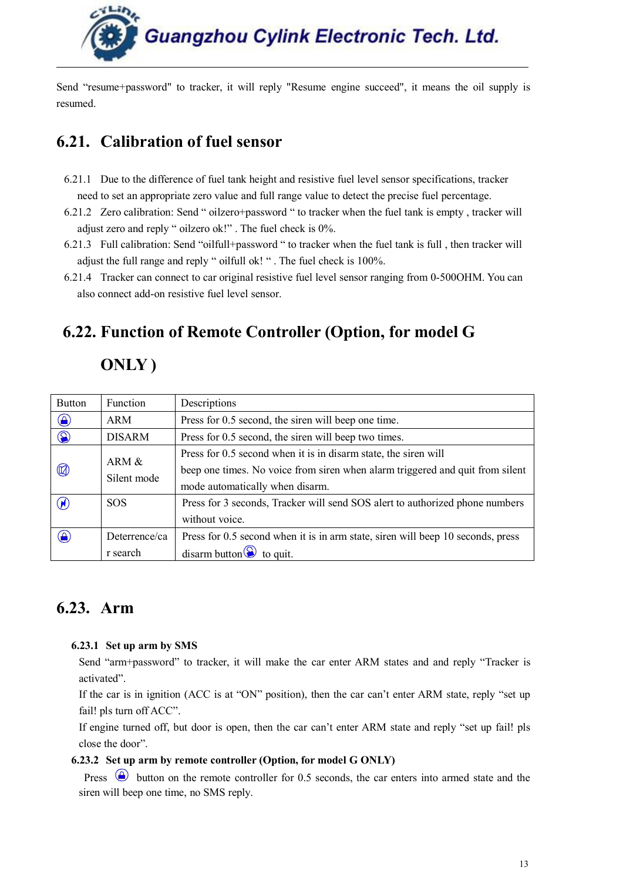<span id="page-12-0"></span>Send "resume+password" to tracker, it will reply "Resume engine succeed", it means the oil supply is resumed.

## **6.21. Calibration of fuel sensor**

- 6.21.1 Due to the difference of fuel tank height and resistive fuel level sensor specifications, tracker need to set an appropriate zero value and full range value to detect the precise fuel percentage.
- 6.21.2 Zero calibration: Send " oilzero+password " to tracker when the fuel tank is empty , tracker will adjust zero and reply " oilzero ok!" . The fuel check is 0%.
- 6.21.3 Full calibration: Send "oilfull+password " to tracker when the fuel tank is full, then tracker will adjust the full range and reply " oilfull ok! " . The fuel check is 100%.
- 6.21.4 Tracker can connect to car original resistive fuel level sensor ranging from 0-500OHM. You can also connect add-on resistive fuel level sensor.

## **6.22. Function of Remote Controller (Option, for model G**

## **ONLY )**

| <b>Button</b>  | Function<br>Descriptions                                              |                                                                                 |
|----------------|-----------------------------------------------------------------------|---------------------------------------------------------------------------------|
| $\bigcirc$     | Press for 0.5 second, the siren will beep one time.<br>ARM            |                                                                                 |
| $\circledcirc$ | Press for 0.5 second, the siren will beep two times.<br><b>DISARM</b> |                                                                                 |
|                | ARM &<br>Silent mode                                                  | Press for 0.5 second when it is in disarm state, the siren will                 |
| $\circledR$    |                                                                       | beep one times. No voice from siren when alarm triggered and quit from silent   |
|                |                                                                       | mode automatically when disarm.                                                 |
| $\circledR$    | <b>SOS</b>                                                            | Press for 3 seconds, Tracker will send SOS alert to authorized phone numbers    |
|                |                                                                       | without voice.                                                                  |
| $\bigcirc$     | Deterrence/ca                                                         | Press for 0.5 second when it is in arm state, siren will beep 10 seconds, press |
|                | r search                                                              | disarm button $\odot$ to quit.                                                  |

## **6.23. Arm**

#### **6.23.1 Set up arm by SMS**

Send "arm+password" to tracker, it will make the car enter ARM states and and reply "Tracker is activated".

If the car is in ignition (ACC is at "ON" position), then the car can't enter ARM state, reply "set up fail! pls turn off ACC".

If engine turned off, but door is open, then the car can't enter ARM state and reply "set up fail! pls close the door".

#### **6.23.2 Set up arm by remote controller (Option, for model G ONLY)**

Press  $\bigcirc$  button on the remote controller for 0.5 seconds, the car enters into armed state and the siren will beep one time, no SMS reply.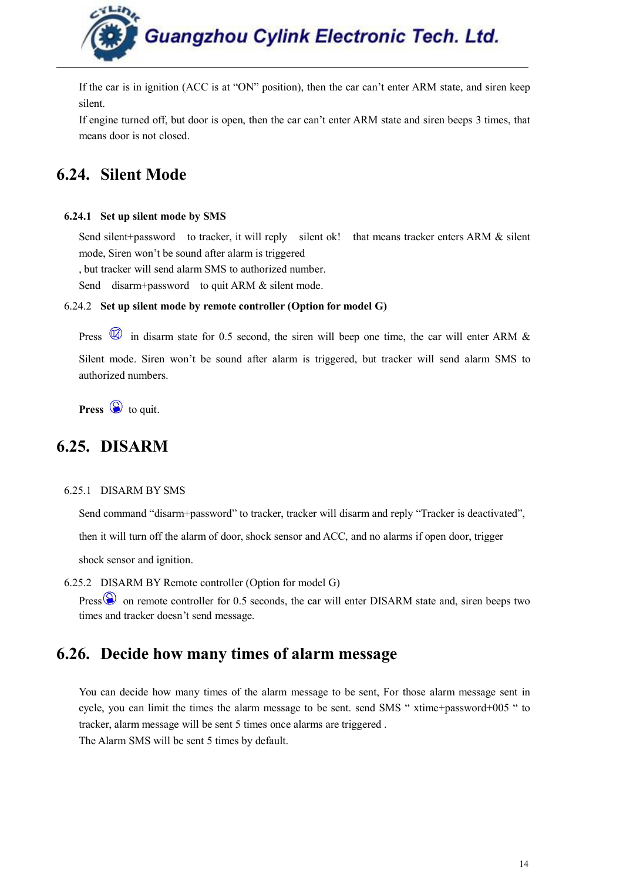

<span id="page-13-0"></span>If the car is in ignition (ACC is at "ON" position), then the car can't enter ARM state, and siren keep silent.

If engine turned off, but door is open, then the car can't enter ARM state and siren beeps 3 times, that means door is not closed.

## **6.24. Silent Mode**

#### **6.24.1 Set up silent mode by SMS**

Send silent+password to tracker, it will reply silent ok! that means tracker enters ARM & silent mode, Siren won't be sound after alarm is triggered

, but tracker will send alarm SMS to authorized number.

Send disarm+password to quit ARM & silent mode.

#### 6.24.2 **Set up silent mode by remote controller (Option for model G)**

Press  $\circledR$  in disarm state for 0.5 second, the siren will beep one time, the car will enter ARM & Silent mode. Siren won't be sound after alarm is triggered, but tracker will send alarm SMS to authorized numbers.

**Press**  $\bigcirc$  to quit.

## **6.25. DISARM**

#### 6.25.1 DISARM BY SMS

Send command "disarm+password" to tracker, tracker will disarm and reply "Tracker is deactivated",

then it will turn off the alarm of door, shock sensor and ACC, and no alarms if open door, trigger

shock sensor and ignition.

6.25.2 DISARM BY Remote controller(Option for model G)

Press  $\circledS$  on remote controller for 0.5 seconds, the car will enter DISARM state and, siren beeps two times and tracker doesn't send message.

## **6.26. Decide how many times of alarm message**

You can decide how many times of the alarm message to be sent, For those alarm message sent in cycle, you can limit the times the alarm message to be sent. send SMS " xtime+password+005 " to tracker, alarm message will be sent 5 times once alarms are triggered . The Alarm SMS will be sent 5 times by default.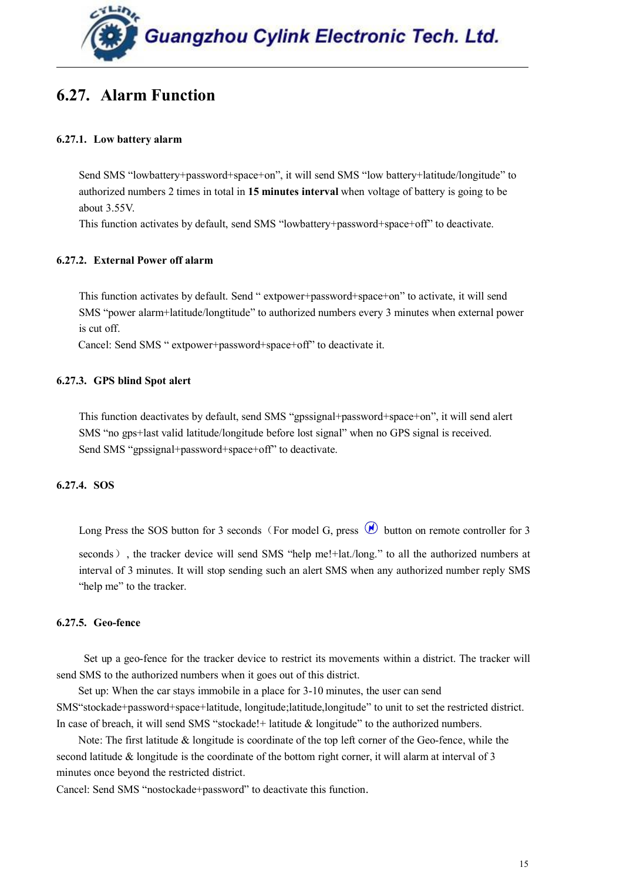

## <span id="page-14-1"></span><span id="page-14-0"></span>**6.27. Alarm Function**

#### **6.27.1. Low battery alarm**

Send SMS "lowbattery+password+space+on", it will send SMS "low battery+latitude/longitude" to authorized numbers 2 times in total in **15 minutes interval** when voltage of battery is going to be about 3.55V.

This function activates by default, send SMS "lowbattery+password+space+off" to deactivate.

#### **6.27.2. External Power off alarm**

This function activates by default. Send " extpower+password+space+on" to activate, it will send SMS "power alarm+latitude/longtitude" to authorized numbers every 3 minutes when external power is cut off.

Cancel: Send SMS " extpower+password+space+off" to deactivate it.

#### **6.27.3. GPS blind Spot alert**

This function deactivates by default, send SMS "gpssignal+password+space+on", it will send alert SMS "no gps+last valid latitude/longitude before lost signal" when no GPS signal is received. Send SMS "gpssignal+password+space+off" to deactivate.

#### **6.27.4. SOS**

Long Press the SOS button for 3 seconds (For model G, press  $\circledR$  button on remote controller for 3

seconds), the tracker device will send SMS "help me!+lat./long." to all the authorized numbers at interval of 3 minutes. It will stop sending such an alert SMS when any authorized number reply SMS "help me" to the tracker.

#### **6.27.5. Geo-fence**

Set up a geo-fence for the tracker device to restrict its movements within a district. The tracker will send SMS to the authorized numbers when it goes out of this district.

Set up: When the car stays immobile in a place for 3-10 minutes, the user can send SMS"stockade+password+space+latitude, longitude;latitude,longitude" to unit to set the restricted district. In case of breach, it will send SMS "stockade!+ latitude & longitude" to the authorized numbers.

Note: The first latitude & longitude is coordinate of the top left corner of the Geo-fence, while the second latitude  $\&$  longitude is the coordinate of the bottom right corner, it will alarm at interval of 3 minutes once beyond the restricted district.

Cancel: Send SMS "nostockade+password" to deactivate this function.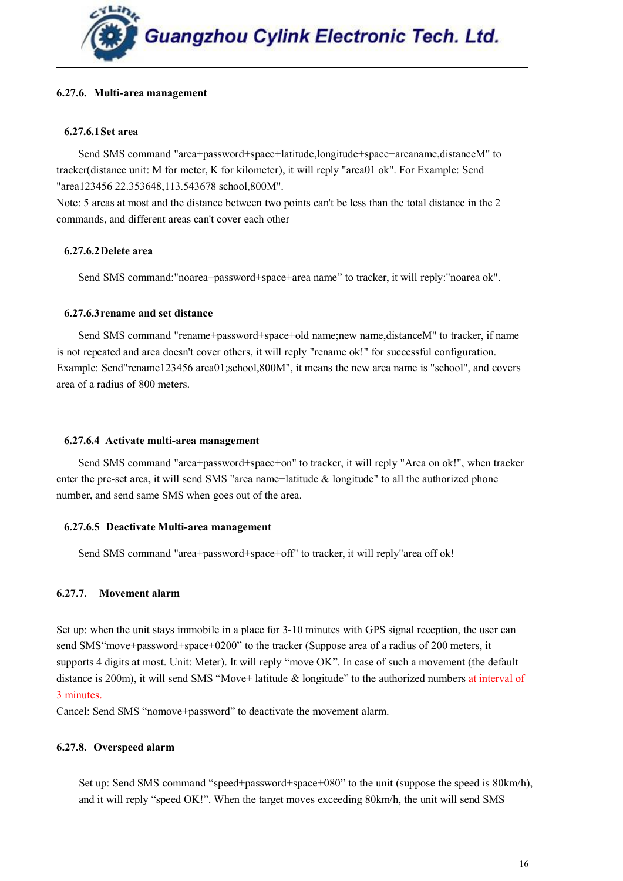#### <span id="page-15-1"></span><span id="page-15-0"></span>**6.27.6. Multi-area management**

#### **6.27.6.1Set area**

Send SMS command "area+password+space+latitude,longitude+space+areaname,distanceM" to tracker(distance unit: M for meter, K for kilometer), it will reply "area01 ok". For Example: Send "area123456 22.353648,113.543678 school,800M".

Note: 5 areas at most and the distance between two points can't be less than the total distance in the 2 commands, and different areas can't cover each other

#### **6.27.6.2Delete area**

Send SMS command:"noarea+password+space+area name" to tracker, it will reply:"noarea ok".

#### **6.27.6.3rename and set distance**

Send SMS command "rename+password+space+old name;new name,distanceM" to tracker, if name is not repeated and area doesn't cover others, it will reply "rename ok!" for successful configuration. Example: Send"rename123456 area01;school,800M", it means the new area name is "school", and covers area of a radius of 800 meters.

#### **6.27.6.4 Activate multi-area management**

Send SMS command "area+password+space+on" to tracker, it will reply "Area on ok!", when tracker enter the pre-set area, it will send SMS "area name+latitude & longitude" to all the authorized phone number, and send same SMS when goes out of the area.

#### **6.27.6.5 Deactivate Multi-area management**

Send SMS command "area+password+space+off" to tracker, it will reply"area off ok!

#### **6.27.7. Movement alarm**

Set up: when the unit stays immobile in a place for 3-10 minutes with GPS signal reception, the user can send SMS"move+password+space+0200" to the tracker (Suppose area of a radius of 200 meters, it supports 4 digits at most. Unit: Meter). It will reply "move OK". In case of such a movement (the default distance is 200m), it will send SMS "Move+ latitude & longitude" to the authorized numbers at interval of 3 minutes.

Cancel: Send SMS "nomove+password" to deactivate the movement alarm.

#### **6.27.8. Overspeed alarm**

Set up: Send SMS command "speed+password+space+080" to the unit (suppose the speed is 80km/h), and it will reply "speed OK!". When the target moves exceeding 80km/h, the unit will send SMS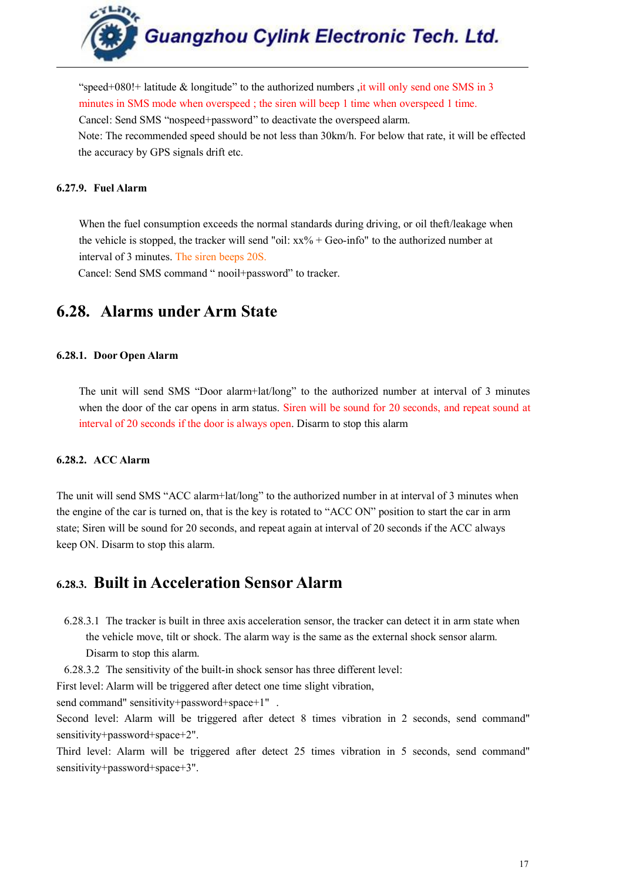

<span id="page-16-1"></span><span id="page-16-0"></span>"speed+080! at latitude  $\&$  longitude" to the authorized numbers , it will only send one SMS in 3 minutes in SMS mode when overspeed ; the siren will beep 1 time when overspeed 1 time. Cancel: Send SMS "nospeed+password" to deactivate the overspeed alarm. Note: The recommended speed should be not less than 30km/h. For below that rate, it will be effected the accuracy by GPS signals drift etc.

#### **6.27.9. Fuel Alarm**

When the fuel consumption exceeds the normal standards during driving, or oil theft/leakage when the vehicle is stopped, the tracker will send "oil:  $xx\%$  + Geo-info" to the authorized number at interval of 3 minutes. The siren beeps 20S.

Cancel: Send SMS command " nooil+password" to tracker.

## **6.28. Alarms under Arm State**

#### **6.28.1. Door Open Alarm**

The unit will send SMS "Door alarm+lat/long" to the authorized number at interval of 3 minutes when the door of the car opens in arm status. Siren will be sound for 20 seconds, and repeat sound at interval of 20 seconds if the door is always open. Disarm to stop this alarm

#### **6.28.2. ACC Alarm**

The unit will send SMS "ACC alarm+lat/long" to the authorized number in at intervalof 3 minutes when the engine of the car is turned on, that is the key is rotated to "ACC ON" position to start the car in arm state; Siren will be sound for 20 seconds, and repeat again at interval of 20 seconds if the ACC always keep ON. Disarm to stop this alarm.

## **6.28.3. Built in [Acceleration](http://cn.bing.com/dict/clientsearch?mkt=zh-cn&setLang=match&form=BDVEHC&q=%E5%8A%A0%E9%80%9F%E5%BA%A6%E4%BC%A0%E6%84%9F%E5%99%A8) [Sensor](http://cn.bing.com/dict/clientsearch?mkt=zh-cn&setLang=match&form=BDVEHC&q=%E5%8A%A0%E9%80%9F%E5%BA%A6%E4%BC%A0%E6%84%9F%E5%99%A8) Alarm**

- 6.28.3.1 The tracker is built in three axis acceleration sensor, the tracker can detect it in arm state when the vehicle move, tilt or shock. The alarm way is the same as the external shock sensor alarm. Disarm to stop this alarm.
- 6.28.3.2 The sensitivity of the built-in shock sensor has three different level:

First level: Alarm will be triggered after detect one time slight vibration,

send command" sensitivity+password+space+1".

Second level: Alarm will be triggered after detect 8 times vibration in 2 seconds, send command" sensitivity+password+space+2".

Third level: Alarm will be triggered after detect 25 times vibration in 5 seconds, send command" sensitivity+password+space+3".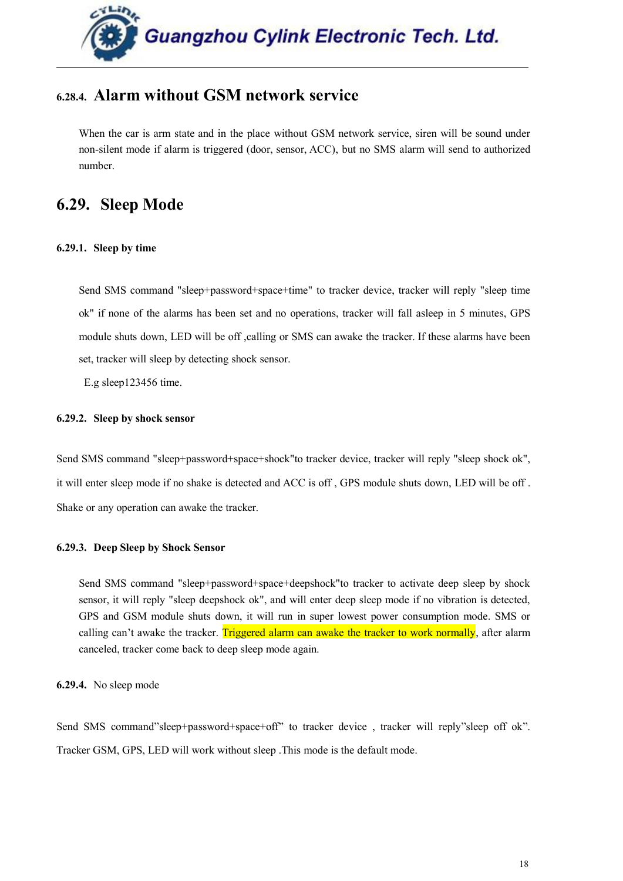

## <span id="page-17-1"></span><span id="page-17-0"></span>**6.28.4. Alarm without GSM network service**

When the car is arm state and in the place without GSM network service, siren will be sound under non-silent mode if alarm is triggered (door, sensor, ACC), but no SMS alarm will send to authorized number.

## **6.29. Sleep Mode**

#### **6.29.1. Sleep by time**

Send SMS command "sleep+password+space+time" to tracker device, tracker will reply "sleep time ok" if none of the alarms has been set and no operations, tracker will fall asleep in 5 minutes, GPS module shuts down, LED will be off ,calling or SMS can awake the tracker. If these alarms have been set, tracker will sleep by detecting shock sensor.

E.g sleep123456 time.

#### **6.29.2. Sleep by shock sensor**

Send SMS command "sleep+password+space+shock"to tracker device, tracker will reply "sleep shock ok", it will enter sleep mode if no shake is detected and ACC is off , GPS module shuts down, LED will be off . Shake or any operation can awake the tracker.

#### **6.29.3. Deep Sleep by Shock Sensor**

Send SMS command "sleep+password+space+deepshock"to tracker to activate deep sleep by shock sensor, it will reply "sleep deepshock ok", and will enter deep sleep mode if no vibration is detected, GPS and GSM module shuts down, it will run in super lowest power consumption mode. SMS or calling can't awake the tracker. Triggered alarm can awake the tracker to work normally, after alarm canceled, tracker come back to deep sleep mode again.

**6.29.4.** No sleep mode

Send SMS command"sleep+password+space+off" to tracker device, tracker will reply"sleep off ok". Tracker GSM, GPS, LED will work without sleep .This mode is the default mode.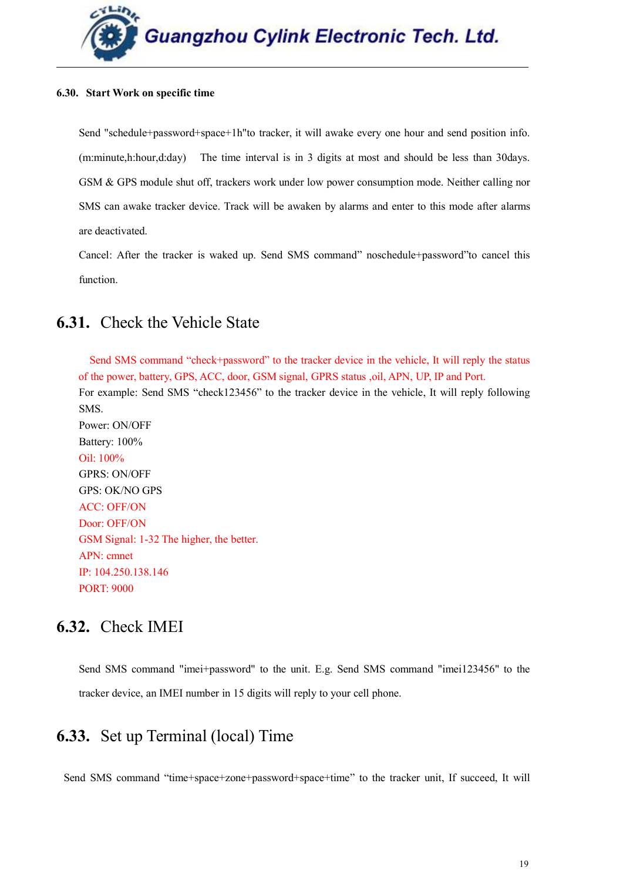

#### <span id="page-18-1"></span><span id="page-18-0"></span>**6.30. Start Work on specific time**

Send "schedule+password+space+1h"to tracker, it will awake every one hour and send position info. (m:minute,h:hour,d:day) The time interval is in 3 digits at most and should be less than 30days. GSM & GPS module shut off, trackers work under low power consumption mode. Neither calling nor SMS can awake tracker device. Track will be awaken by alarms and enter to this mode after alarms are deactivated.

Cancel: After the tracker is waked up. Send SMS command" noschedule+password"to cancel this function.

## **6.31.** Check the Vehicle State

Send SMS command "check+password" to the tracker device in the vehicle, It will reply the status of the power, battery, GPS, ACC, door, GSM signal, GPRS status ,oil, APN, UP, IP and Port.

For example: Send SMS "check123456" to the tracker device in the vehicle, It will reply following SMS.

Power: ON/OFF Battery: 100% Oil: 100% GPRS: ON/OFF GPS: OK/NO GPS ACC: OFF/ON Door: OFF/ON GSM Signal: 1-32 The higher, the better. APN: cmnet IP: 104.250.138.146 PORT: 9000

## **6.32.** Check IMEI

Send SMS command "imei+password" to the unit. E.g. Send SMS command "imei123456" to the tracker device, an IMEI number in 15 digits willreply to your cell phone.

## **6.33.** Set up Terminal (local) Time

Send SMS command "time+space+zone+password+space+time" to the tracker unit, If succeed, It will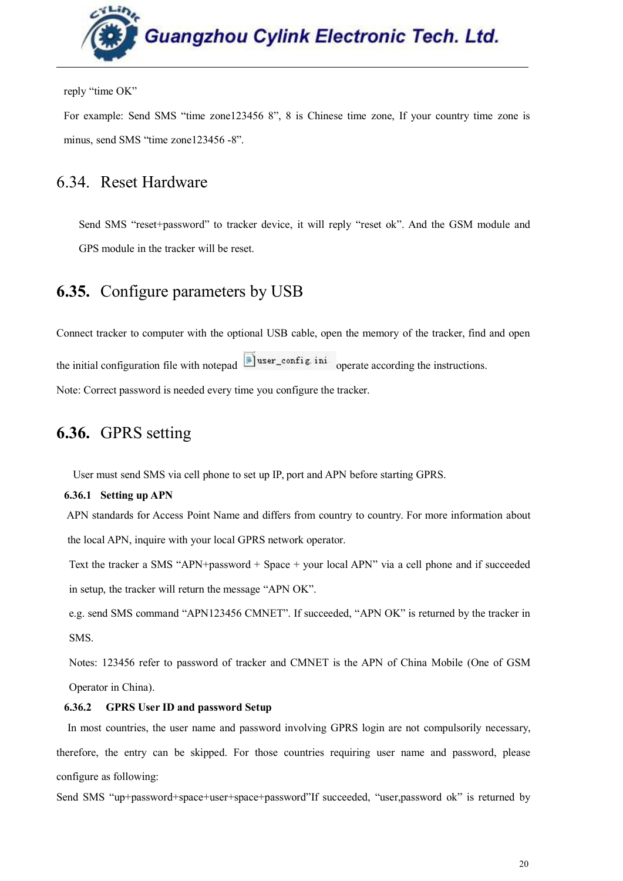

<span id="page-19-0"></span>reply "time OK"

For example: Send SMS "time zone123456 8", 8 is Chinese time zone, If your country time zone is minus, send SMS "time zone123456 -8".

## 6.34. Reset Hardware

Send SMS "reset+password" to tracker device, it will reply "reset ok". And the GSM module and GPS module in the tracker will be reset.

## **6.35.** Configure parameters by USB

Connect tracker to computer with the optional USB cable, open the memory of the tracker, find and open the initial configuration file with notepad  $\Box$  user\_config. ini operate according the instructions. Note: Correct password is needed every time you configure the tracker.

## **6.36.** GPRS setting

User must send SMS via cell phone to set up IP, port and APN before starting GPRS.

**6.36.1 Setting up APN**

APN standards for Access Point Name and differs from country to country. For more information about the local APN, inquire with your localGPRS network operator.

Text the tracker a SMS "APN+password + Space + your local APN" via a cell phone and if succeeded in setup, the tracker will return the message "APN OK".

e.g. send SMS command "APN123456 CMNET". If succeeded, "APN OK" is returned by the tracker in SMS.

Notes: 123456 refer to password of tracker and CMNET is the APN of China Mobile (One of GSM Operator in China).

#### **6.36.2 GPRS User ID and password Setup**

In most countries, the user name and password involving GPRS login are not compulsorily necessary, therefore, the entry can be skipped. For those countries requiring user name and password, please configure as following:

Send SMS "up+password+space+user+space+password"If succeeded, "user,password ok" is returned by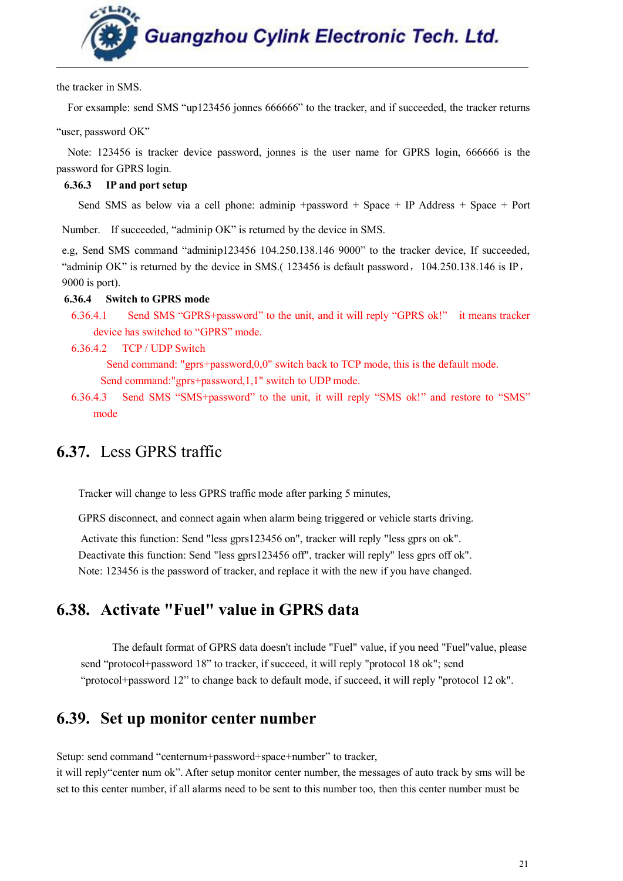

the tracker in SMS.

<span id="page-20-0"></span>For exsample: send SMS "up123456 jonnes 666666" to the tracker, and if succeeded, the tracker returns

"user, password OK"

Note: 123456 is tracker device password, jonnes is the user name for GPRS login, 666666 is the password for GPRS login.

#### **6.36.3 IP and port setup**

Send SMS as below via a cell phone: adminip +password + Space + IP Address + Space + Port

Number. If succeeded, "adminip OK" is returned by the device in SMS.

e.g, Send SMS command "adminip123456 104.250.138.146 9000" to the tracker device, If succeeded, "adminip OK" is returned by the device in SMS.  $(123456$  is default password,  $104.250.138.146$  is IP, 9000 is port).

#### **6.36.4 Switch toGPRS mode**

- 6.36.4.1 Send SMS "GPRS+password" to the unit, and it will reply "GPRS ok!" it means tracker device has switched to "GPRS" mode.
- 6.36.4.2 TCP / UDP Switch

Send command: "gprs+password, $0,0$ " switch back to TCP mode, this is the default mode. Send command:"gprs+password,1,1" switch to UDP mode.

6.36.4.3 Send SMS "SMS+password" to the unit, it will reply "SMS ok!" and restore to "SMS" mode

## **6.37.** Less GPRS traffic

Tracker will change to less GPRS traffic mode after parking 5 minutes,

GPRS disconnect, and connect again when alarm being triggered or vehicle starts driving.

Activate this function: Send "less gprs123456 on", tracker will reply "less gprs on ok". Deactivate this function: Send "less gprs123456 off", tracker will reply" less gprs off ok". Note: 123456 is the password of tracker, and replace it with the new if you have changed.

## **6.38. Activate "Fuel" value in GPRS data**

The default format of GPRS data doesn't include "Fuel" value, if you need "Fuel"value, please send "protocol+password 18" to tracker, if succeed, it will reply "protocol 18 ok"; send "protocol+password 12" to change back to default mode, if succeed, it will reply "protocol 12 ok".

## **6.39. Set up monitor center number**

Setup: send command "centernum+password+space+number" to tracker,

it will reply"center num ok". After setup monitor center number, the messages ofauto track by sms will be set to this center number, if all alarms need to be sent to this number too, then this center number must be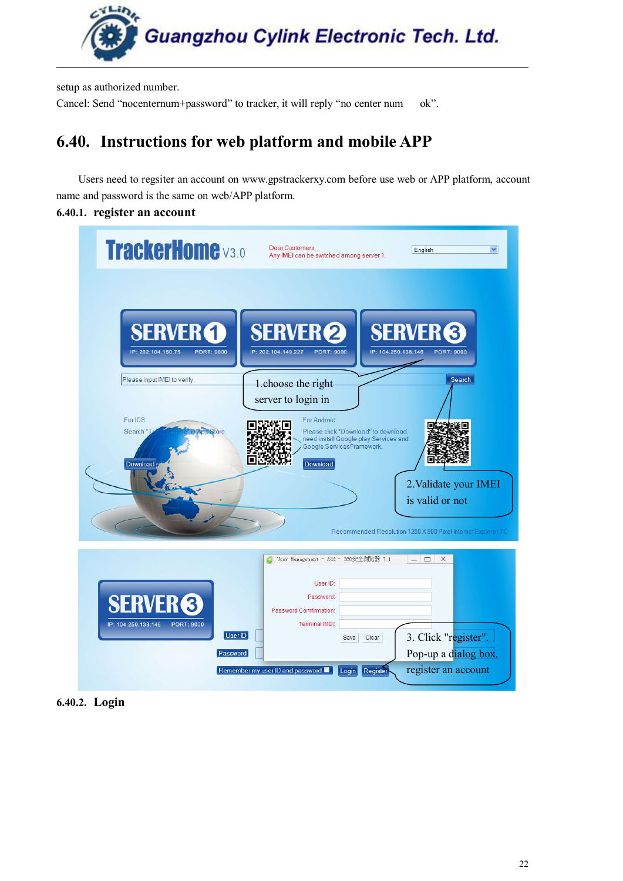

<span id="page-21-0"></span>setup as authorized number.

Cancel: Send "nocenternum+password" to tracker, it will reply "no center num ok".

## **6.40. Instructions for web platform and mobile APP**

Users need to regsiter an account on [www.gpstrackerxy.com](http://www.gpstrackerxy.com/) before use web or APP platform, account name and password is the same on web/APP platform.

#### **6.40.1. register an account**

| <b>TrackerHome</b> v3.0                             | Dear Customers,<br>Any IMEI can be switched among server 1.                                                               | English<br>$\checkmark$                                                          |  |
|-----------------------------------------------------|---------------------------------------------------------------------------------------------------------------------------|----------------------------------------------------------------------------------|--|
|                                                     |                                                                                                                           |                                                                                  |  |
| <b>SERVER 1</b>                                     | <b>SERVER<sup>2</sup></b>                                                                                                 | <b>SERVER<sup>6</sup></b>                                                        |  |
| IP: 202.104.150.75<br><b>PORT: 9000</b>             | IP: 202.104.149.227<br><b>PORT: 9000</b>                                                                                  | IP: 104.250.138.146<br><b>PORT: 9000</b>                                         |  |
| Please input IMEI to verify.                        | 1.choose the right<br>server to login in                                                                                  | <b>Search</b>                                                                    |  |
| For IOS<br>Search<br><b>Store</b>                   | For Android<br>Please click "Download" to download,<br>need install Google play Services and<br>Google ServicesFramework. | Е                                                                                |  |
| Download                                            | Download                                                                                                                  | 2. Validate your IMEI                                                            |  |
|                                                     |                                                                                                                           | is valid or not<br>Recommended Resolution 1280 X 800 Pixel Internet Explorer 7.0 |  |
|                                                     | User Management - Add - 360安全浏览器 7.1                                                                                      | $ \Box$ $\times$                                                                 |  |
| (3                                                  | User ID:<br>Password:<br>Password Comfirmation:                                                                           |                                                                                  |  |
| IP: 104.250.138.146<br><b>PORT: 9000</b><br>User ID | Terminal IMEI:<br>Save<br>Clear                                                                                           | 3. Click "register".                                                             |  |
| Password                                            |                                                                                                                           | Pop-up a dialog box,                                                             |  |
|                                                     | Remember my user ID and password<br>Register<br>Login                                                                     | register an account                                                              |  |

**6.40.2. Login**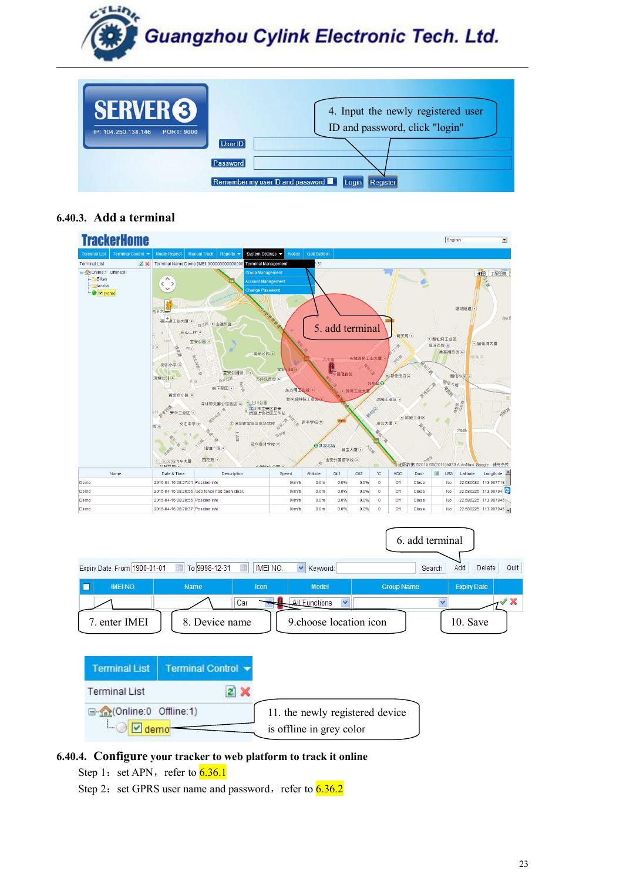

Remember my user ID and password Law Login Register

Password

#### **6.40.3. Add a terminal**



#### **6.40.4. Configure your tracker to web platform to track it online**

- Step 1: set APN, refer to  $\overline{6.36.1}$
- Step 2: set GPRS user name and password, refer to  $6.36.2$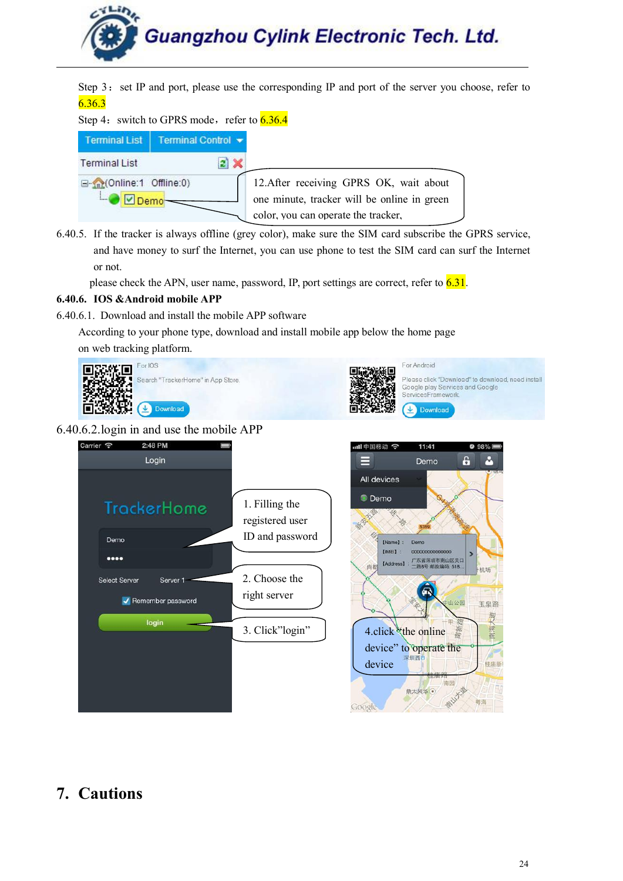

<span id="page-23-0"></span>Step 3: set IP and port, please use the corresponding IP and port of the server you choose, refer to 6.36.3

#### Step 4: switch to GPRS mode, refer to  $\overline{6.36.4}$

| <b>Terminal List</b>     | Terminal Control v |                                             |
|--------------------------|--------------------|---------------------------------------------|
| <b>Terminal List</b>     |                    |                                             |
| G-me(Online:1 Offline:0) |                    | 12. After receiving GPRS OK, wait about     |
|                          |                    | one minute, tracker will be online in green |
|                          |                    | color, you can operate the tracker,         |

6.40.5. If the tracker is always offline (grey color), make sure the SIM card subscribe the GPRS service, and have money to surf the Internet, you can use phone to test the SIM card can surf the Internet or not.

please check the APN, user name, password, IP, port settings are correct, refer to  $6.31$ .

#### **6.40.6. IOS &Android mobile APP**

6.40.6.1. Download and install the mobile APP software

According to your phone type, download and install mobile app below the home page on web tracking platform.



#### 6.40.6.2.login in and use the mobile APP



## **7. Cautions**